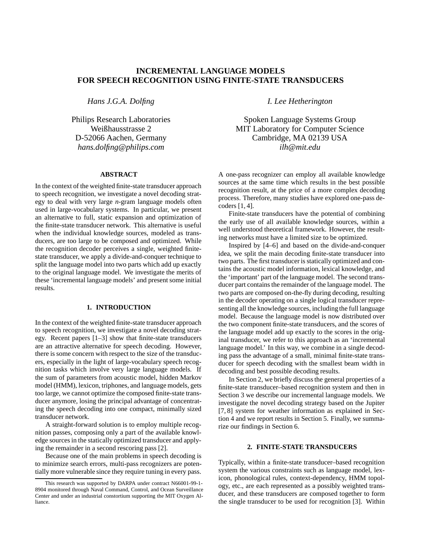# **INCREMENTAL LANGUAGE MODELS FOR SPEECH RECOGNITION USING FINITE-STATE TRANSDUCERS**

*Hans J.G.A. Dolfing*

Philips Research Laboratories Weißhausstrasse 2 D-52066 Aachen, Germany *hans.dolfing@philips.com*

## **ABSTRACT**

In the context of the weighted finite-state transducer approach to speech recognition, we investigate a novel decoding strategy to deal with very large *n-*gram language models often used in large-vocabulary systems. In particular, we present an alternative to full, static expansion and optimization of the finite-state transducer network. This alternative is useful when the individual knowledge sources, modeled as transducers, are too large to be composed and optimized. While the recognition decoder perceives a single, weighted finitestate transducer, we apply a divide-and-conquer technique to split the language model into two parts which add up exactly to the original language model. We investigate the merits of these 'incremental language models' and present some initial results.

## **1. INTRODUCTION**

In the context of the weighted finite-state transducer approach to speech recognition, we investigate a novel decoding strategy. Recent papers [1–3] show that finite-state transducers are an attractive alternative for speech decoding. However, there is some concern with respect to the size of the transducers, especially in the light of large-vocabulary speech recognition tasks which involve very large language models. If the sum of parameters from acoustic model, hidden Markov model (HMM), lexicon, triphones, and language models, gets too large, we cannot optimize the composed finite-state transducer anymore, losing the principal advantage of concentrating the speech decoding into one compact, minimally sized transducer network.

A straight-forward solution is to employ multiple recognition passes, composing only a part of the available knowledge sources in the statically optimized transducer and applying the remainder in a second rescoring pass [2].

Because one of the main problems in speech decoding is to minimize search errors, multi-pass recognizers are potentially more vulnerable since they require tuning in every pass.

*I. Lee Hetherington*

Spoken Language Systems Group MIT Laboratory for Computer Science Cambridge, MA 02139 USA *ilh@mit.edu*

A one-pass recognizer can employ all available knowledge sources at the same time which results in the best possible recognition result, at the price of a more complex decoding process. Therefore, many studies have explored one-pass decoders [1, 4].

Finite-state transducers have the potential of combining the early use of all available knowledge sources, within a well understood theoretical framework. However, the resulting networks must have a limited size to be optimized.

Inspired by [4–6] and based on the divide-and-conquer idea, we split the main decoding finite-state transducer into two parts. The first transducer is statically optimized and contains the acoustic model information, lexical knowledge, and the 'important' part of the language model. The second transducer part contains the remainder of the language model. The two parts are composed on-the-fly during decoding, resulting in the decoder operating on a single logical transducer representing all the knowledge sources, including the full language model. Because the language model is now distributed over the two component finite-state transducers, and the scores of the language model add up exactly to the scores in the original transducer, we refer to this approach as an 'incremental language model.' In this way, we combine in a single decoding pass the advantage of a small, minimal finite-state transducer for speech decoding with the smallest beam width in decoding and best possible decoding results.

In Section 2, we briefly discuss the general properties of a finite-state transducer–based recognition system and then in Section 3 we describe our incremental language models. We investigate the novel decoding strategy based on the Jupiter [7, 8] system for weather information as explained in Section 4 and we report results in Section 5. Finally, we summarize our findings in Section 6.

## **2. FINITE-STATE TRANSDUCERS**

Typically, within a finite-state transducer–based recognition system the various constraints such as language model, lexicon, phonological rules, context-dependency, HMM topology, etc., are each represented as a possibly weighted transducer, and these transducers are composed together to form the single transducer to be used for recognition [3]. Within

This research was supported by DARPA under contract N66001-99-1- 8904 monitored through Naval Command, Control, and Ocean Surveillance Center and under an industrial constortium supporting the MIT Oxygen Alliance.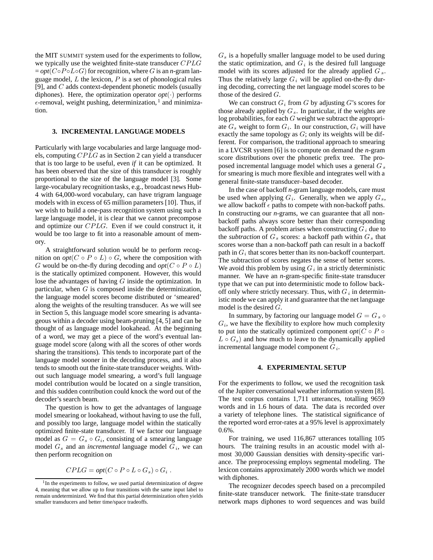the MIT SUMMIT system used for the experiments to follow, we typically use the weighted finite-state transducer CPLG  $= opt(C \circ P \circ L \circ G)$  for recognition, where G is an *n*-gram language model,  $L$  the lexicon,  $P$  is a set of phonological rules [9], and C adds context-dependent phonetic models (usually diphones). Here, the optimization operator  $opt(\cdot)$  performs  $\epsilon$ -removal, weight pushing, determinization, <sup>1</sup> and minimization.

### **3. INCREMENTAL LANGUAGE MODELS**

Particularly with large vocabularies and large language models, computing CPLG as in Section 2 can yield a transducer that is too large to be useful, even *if* it can be optimized. It has been observed that the size of this transducer is roughly proportional to the size of the language model [3]. Some large-vocabulary recognition tasks, e.g., broadcast news Hub-4 with 64,000-word vocabulary, can have trigram language models with in excess of 65 million parameters [10]. Thus, if we wish to build a one-pass recognition system using such a large language model, it is clear that we cannot precompose and optimize our CPLG. Even if we could construct it, it would be too large to fit into a reasonable amount of memory.

A straightforward solution would be to perform recognition on  $opt(C \circ P \circ L) \circ G$ , where the composition with G would be on-the-fly during decoding and  $opt(C \circ P \circ L)$ is the statically optimized component. However, this would lose the advantages of having G inside the optimization. In particular, when G is composed inside the determinization, the language model scores become distributed or 'smeared' along the weights of the resulting transducer. As we will see in Section 5, this language model score smearing is advantageous within a decoder using beam-pruning [4, 5] and can be thought of as language model lookahead. At the beginning of a word, we may get a piece of the word's eventual language model score (along with all the scores of other words sharing the transitions). This tends to incorporate part of the language model sooner in the decoding process, and it also tends to smooth out the finite-state transducer weights. Without such language model smearing, a word's full language model contribution would be located on a single transition, and this sudden contribution could knock the word out of the decoder's search beam.

The question is how to get the advantages of language model smearing or lookahead, without having to use the full, and possibly too large, language model within the statically optimized finite-state transducer. If we factor our language model as  $G = G_s \circ G_i$ , consisting of a smearing language model G*<sup>s</sup>* and an *incremental* language model G*i*, we can then perform recognition on

$$
CPLG = opt(C \circ P \circ L \circ G_s) \circ G_i .
$$

G*<sup>s</sup>* is a hopefully smaller language model to be used during the static optimization, and  $G_i$  is the desired full language model with its scores adjusted for the already applied G *<sup>s</sup>*. Thus the relatively large  $G_i$  will be applied on-the-fly during decoding, correcting the net language model scores to be those of the desired G.

We can construct  $G_i$  from G by adjusting  $G$ 's scores for those already applied by G*s*. In particular, if the weights are log probabilities, for each G weight we subtract the appropriate  $G_s$  weight to form  $G_i$ . In our construction,  $G_i$  will have exactly the same topology as  $G$ ; only its weights will be different. For comparison, the traditional approach to smearing in a LVCSR system [6] is to compute on demand the *n-*gram score distributions over the phonetic prefix tree. The proposed incremental language model which uses a general G*<sup>s</sup>* for smearing is much more flexible and integrates well with a general finite-state transducer–based decoder.

In the case of backoff *n-*gram language models, care must be used when applying G*i*. Generally, when we apply G*s*, we allow backoff  $\epsilon$  paths to compete with non-backoff paths. In constructing our *n-*grams, we can guarantee that all nonbackoff paths always score better than their corresponding backoff paths. A problem arises when constructing  $G_i$  due to the *subtraction* of  $G_s$  scores: a backoff path within  $G_s$  that scores worse than a non-backoff path can result in a backoff path in G*<sup>i</sup>* that scores better than its non-backoff counterpart. The subtraction of scores negates the sense of better scores. We avoid this problem by using  $G_i$  in a strictly deterministic manner. We have an *n-*gram-specific finite-state transducer type that we can put into deterministic mode to follow backoff only where strictly necessary. Thus, with G*<sup>i</sup>* in deterministic mode we can apply it and guarantee that the net language model is the desired G.

In summary, by factoring our language model  $G = G_s \circ$  $G_i$ , we have the flexibility to explore how much complexity to put into the statically optimized component  $opt(C \circ P \circ$  $L \circ G_s$ ) and how much to leave to the dynamically applied incremental language model component G*i*.

### **4. EXPERIMENTAL SETUP**

For the experiments to follow, we used the recognition task of the Jupiter conversational weather information system [8]. The test corpus contains 1,711 utterances, totalling 9659 words and in 1.6 hours of data. The data is recorded over a variety of telephone lines. The statistical significance of the reported word error-rates at a 95% level is approximately 0.6%.

For training, we used 116,867 utterances totalling 105 hours. The training results in an acoustic model with almost 30,000 Gaussian densities with density-specific variance. The preprocessing employs segmental modeling. The lexicon contains approximately 2000 words which we model with diphones.

The recognizer decodes speech based on a precompiled finite-state transducer network. The finite-state transducer network maps diphones to word sequences and was build

 $1$ In the experiments to follow, we used partial determinization of degree 4, meaning that we allow up to four transitions with the same input label to remain undeterminized. We find that this partial determinization often yields smaller transducers and better time/space tradeoffs.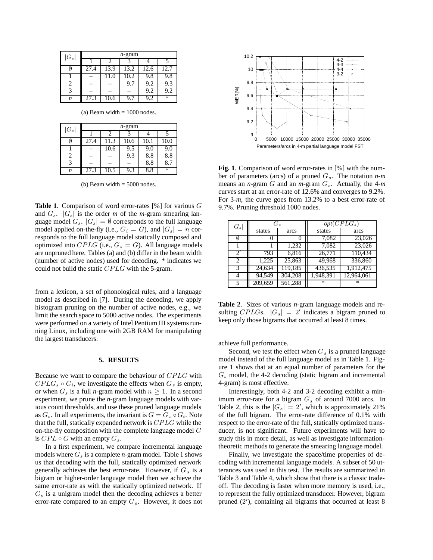| $ G_s $ | $n$ -gram |      |      |      |      |  |
|---------|-----------|------|------|------|------|--|
|         |           | າ    |      |      |      |  |
|         | 27.4      | 13.9 | 13.2 | 12.6 | 12.7 |  |
|         |           | 11.0 | 10.2 | 9.8  | 9.8  |  |
| 2       |           |      | 9.7  | 9.2  | 9.3  |  |
| 3       |           |      |      | 9.2  | 9.2  |  |
| n       | 27.3      | 10.6 | 9.7  | 9.2  | ¥    |  |

(a) Beam width  $= 1000$  nodes.

| $ G_s $ | <i>n</i> -gram |      |      |      |        |  |
|---------|----------------|------|------|------|--------|--|
|         |                |      |      |      |        |  |
|         | 27.4           | 11.3 | 10.6 | 10.1 | 10.0   |  |
|         |                | 10.6 | 9.5  | 9.0  | 9.0    |  |
| 2       |                |      | 9.3  | 8.8  | 8.8    |  |
| 3       |                |      |      | 8.8  | 8.7    |  |
| n       | 27.3           | 10.5 | 9.3  | 8.8  | $\ast$ |  |

(b) Beam width  $= 5000$  nodes.

**Table 1**. Comparison of word error-rates [%] for various G and  $G_s$ .  $|G_s|$  is the order *m* of the *m*-gram smearing language model  $G_s$ .  $|G_s| = \emptyset$  corresponds to the full language model applied on-the-fly (i.e.,  $G_i = G$ ), and  $|G_s| = n$  corresponds to the full language model statically composed and optimized into CPLG (i.e.,  $G_s = G$ ). All language models are unpruned here. Tables (a) and (b) differ in the beam width (number of active nodes) used for decoding. \* indicates we could not build the static CPLG with the 5-gram.

from a lexicon, a set of phonological rules, and a language model as described in [7]. During the decoding, we apply histogram pruning on the number of active nodes, e.g., we limit the search space to 5000 active nodes. The experiments were performed on a variety of Intel Pentium III systems running Linux, including one with 2GB RAM for manipulating the largest transducers.

#### **5. RESULTS**

Because we want to compare the behaviour of CPLG with  $CPLG_s \circ G_i$ , we investigate the effects when  $G_s$  is empty, or when  $G_s$  is a full *n*-gram model with  $n \geq 1$ . In a second experiment, we prune the *n-*gram language models with various count thresholds, and use these pruned language models as  $G_s$ . In all experiments, the invariant is  $G = G_s \circ G_i$ . Note that the full, statically expanded network is CPLG while the on-the-fly composition with the complete language model  $G$ is  $CPL \circ G$  with an empty  $G_s$ .

In a first experiment, we compare incremental language models where G*<sup>s</sup>* is a complete *n-*gram model. Table 1 shows us that decoding with the full, statically optimized network generally achieves the best error-rate. However, if G*<sup>s</sup>* is a bigram or higher-order language model then we achieve the same error-rate as with the statically optimized network. If G*<sup>s</sup>* is a unigram model then the decoding achieves a better error-rate compared to an empty G*s*. However, it does not



**Fig. 1**. Comparison of word error-rates in [%] with the number of parameters (arcs) of a pruned G*s*. The notation *n*-*m* means an *n*-gram G and an *m*-gram G*s*. Actually, the 4-*m* curves start at an error-rate of 12.6% and converges to 9.2%. For 3-*m*, the curve goes from 13.2% to a best error-rate of 9.7%. Pruning threshold 1000 nodes.

| $ G_s $ | $G_s$   |         | $opt(CPLG_s)$ |              |
|---------|---------|---------|---------------|--------------|
|         | states  | arcs    | states        | arcs         |
|         |         |         | 7,082         | 23,026       |
|         |         | 1,232   | 7,082         | 23,026       |
| 2'      | 793     | 6,816   | 26,771        | 110,434      |
| 2       | 1,225   | 25,863  | 49,968        | 336,860      |
| 3       | 24,634  | 119,185 | 436,535       | 1,912,475    |
|         | 94,549  | 304,208 | 1,948,391     | 12,964,061   |
|         | 209,659 | 561,288 | $*$           | $\mathbf{x}$ |

**Table 2**. Sizes of various *n-*gram language models and resulting CPLGs.  $|G_s| = 2'$  indicates a bigram pruned to keep only those bigrams that occurred at least 8 times.

achieve full performance.

Second, we test the effect when  $G_s$  is a pruned language model instead of the full language model as in Table 1. Figure 1 shows that at an equal number of parameters for the G*<sup>s</sup>* model, the 4-2 decoding (static bigram and incremental 4-gram) is most effective.

Interestingly, both 4-2 and 3-2 decoding exhibit a minimum error-rate for a bigram G*<sup>s</sup>* of around 7000 arcs. In Table 2, this is the  $|G_s| = 2'$ , which is approximately 21% of the full bigram. The error-rate difference of 0.1% with respect to the error-rate of the full, statically optimized transducer, is not significant. Future experiments will have to study this in more detail, as well as investigate informationtheoretic methods to generate the smearing language model.

Finally, we investigate the space/time properties of decoding with incremental language models. A subset of 50 utterances was used in this test. The results are summarized in Table 3 and Table 4, which show that there is a classic tradeoff. The decoding is faster when more memory is used, i.e., to represent the fully optimized transducer. However, bigram pruned (2 ), containing all bigrams that occurred at least 8